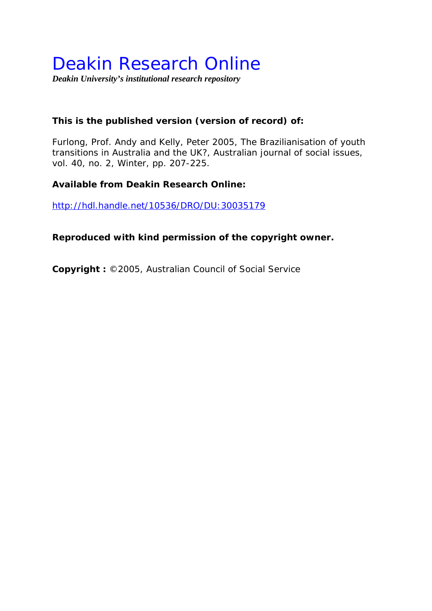# Deakin Research Online

*Deakin University's institutional research repository* 

## **This is the published version (version of record) of:**

Furlong, Prof. Andy and Kelly, Peter 2005, The Brazilianisation of youth transitions in Australia and the UK?*, Australian journal of social issues*, vol. 40, no. 2, Winter, pp. 207-225.

## **Available from Deakin Research Online:**

http://hdl.handle.net/10536/DRO/DU:30035179

**Reproduced with kind permission of the copyright owner.** 

**Copyright :** ©2005, Australian Council of Social Service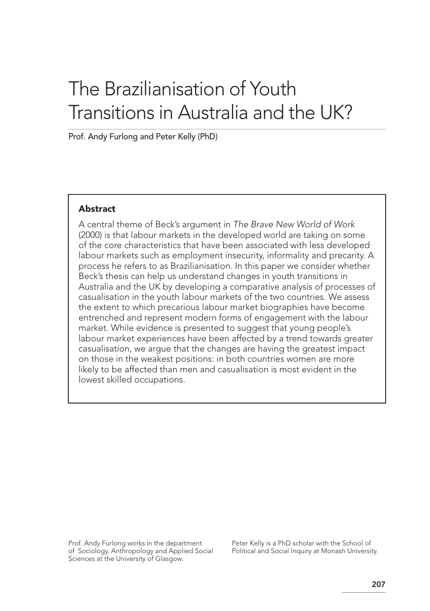# The Brazilianisation of Youth Transitions in Australia and the UK?

Prof. Andy Furlong and Peter Kelly (PhD)

## Abstract

A central theme of Beck's argument in The Brave New World of Work (2000) is that labour markets in the developed world are taking on some of the core characteristics that have been associated with less developed labour markets such as employment insecurity, informality and precarity. A process he refers to as Brazilianisation. In this paper we consider whether Beck's thesis can help us understand changes in youth transitions in Australia and the UK by developing a comparative analysis of processes of casualisation in the youth labour markets of the two countries. We assess the extent to which precarious labour market biographies have become entrenched and represent modern forms of engagement with the labour market. While evidence is presented to suggest that young people's labour market experiences have been affected by a trend towards greater casualisation, we argue that the changes are having the greatest impact on those in the weakest positions: in both countries women are more likely to be affected than men and casualisation is most evident in the lowest skilled occupations.

Prof. Andy Furlong works in the department of Sociology, Anthropology and Applied Social Sciences at the University of Glasgow.

Peter Kelly is a PhD scholar with the School of Political and Social Inquiry at Monash University.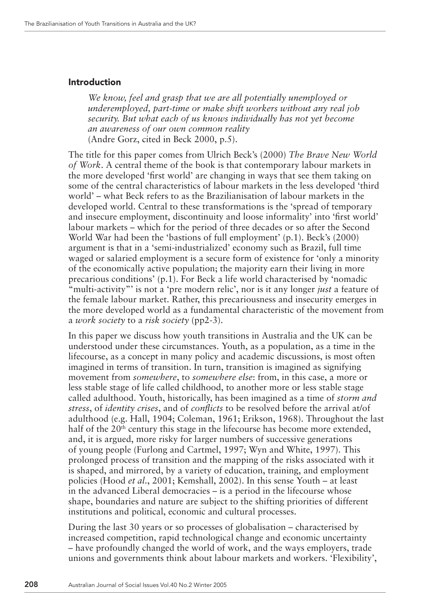#### Introduction

*We know, feel and grasp that we are all potentially unemployed or underemployed, part-time or make shift workers without any real job security. But what each of us knows individually has not yet become an awareness of our own common reality* (Andre Gorz, cited in Beck 2000, p.5).

The title for this paper comes from Ulrich Beck's (2000) *The Brave New World of Work*. A central theme of the book is that contemporary labour markets in the more developed 'first world' are changing in ways that see them taking on some of the central characteristics of labour markets in the less developed 'third world' – what Beck refers to as the Brazilianisation of labour markets in the developed world. Central to these transformations is the 'spread of temporary and insecure employment, discontinuity and loose informality' into 'first world' labour markets – which for the period of three decades or so after the Second World War had been the 'bastions of full employment' (p.1). Beck's (2000) argument is that in a 'semi-industrialized' economy such as Brazil, full time waged or salaried employment is a secure form of existence for 'only a minority of the economically active population; the majority earn their living in more precarious conditions' (p.1). For Beck a life world characterised by 'nomadic "multi-activity"' is not a 'pre modern relic', nor is it any longer *just* a feature of the female labour market. Rather, this precariousness and insecurity emerges in the more developed world as a fundamental characteristic of the movement from a *work society* to a *risk society* (pp2-3).

In this paper we discuss how youth transitions in Australia and the UK can be understood under these circumstances. Youth, as a population, as a time in the lifecourse, as a concept in many policy and academic discussions, is most often imagined in terms of transition. In turn, transition is imagined as signifying movement from *somewhere*, to *somewhere else*: from, in this case, a more or less stable stage of life called childhood, to another more or less stable stage called adulthood. Youth, historically, has been imagined as a time of *storm and stress*, of *identity crises*, and of *confl icts* to be resolved before the arrival at/of adulthood (e.g. Hall, 1904; Coleman, 1961; Erikson, 1968). Throughout the last half of the  $20<sup>th</sup>$  century this stage in the lifecourse has become more extended, and, it is argued, more risky for larger numbers of successive generations of young people (Furlong and Cartmel, 1997; Wyn and White, 1997). This prolonged process of transition and the mapping of the risks associated with it is shaped, and mirrored, by a variety of education, training, and employment policies (Hood *et al*., 2001; Kemshall, 2002). In this sense Youth – at least in the advanced Liberal democracies – is a period in the lifecourse whose shape, boundaries and nature are subject to the shifting priorities of different institutions and political, economic and cultural processes.

During the last 30 years or so processes of globalisation – characterised by increased competition, rapid technological change and economic uncertainty – have profoundly changed the world of work, and the ways employers, trade unions and governments think about labour markets and workers. 'Flexibility',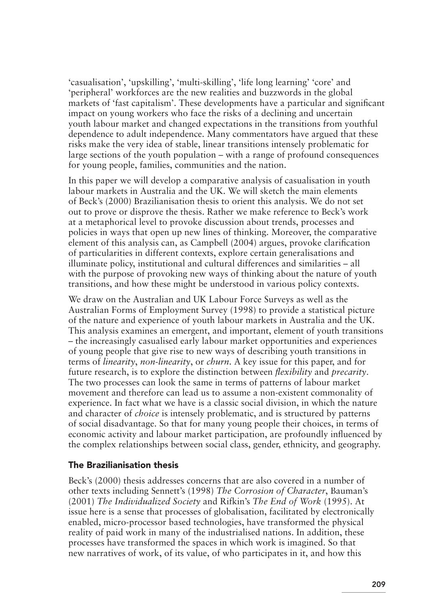'casualisation', 'upskilling', 'multi-skilling', 'life long learning' 'core' and 'peripheral' workforces are the new realities and buzzwords in the global markets of 'fast capitalism'. These developments have a particular and significant impact on young workers who face the risks of a declining and uncertain youth labour market and changed expectations in the transitions from youthful dependence to adult independence. Many commentators have argued that these risks make the very idea of stable, linear transitions intensely problematic for large sections of the youth population – with a range of profound consequences for young people, families, communities and the nation.

In this paper we will develop a comparative analysis of casualisation in youth labour markets in Australia and the UK. We will sketch the main elements of Beck's (2000) Brazilianisation thesis to orient this analysis. We do not set out to prove or disprove the thesis. Rather we make reference to Beck's work at a metaphorical level to provoke discussion about trends, processes and policies in ways that open up new lines of thinking. Moreover, the comparative element of this analysis can, as Campbell  $(2004)$  argues, provoke clarification of particularities in different contexts, explore certain generalisations and illuminate policy, institutional and cultural differences and similarities – all with the purpose of provoking new ways of thinking about the nature of youth transitions, and how these might be understood in various policy contexts.

We draw on the Australian and UK Labour Force Surveys as well as the Australian Forms of Employment Survey (1998) to provide a statistical picture of the nature and experience of youth labour markets in Australia and the UK. This analysis examines an emergent, and important, element of youth transitions – the increasingly casualised early labour market opportunities and experiences of young people that give rise to new ways of describing youth transitions in terms of *linearity*, *non-linearity*, or *churn*. A key issue for this paper, and for future research, is to explore the distinction between *fl exibility* and *precarity*. The two processes can look the same in terms of patterns of labour market movement and therefore can lead us to assume a non-existent commonality of experience. In fact what we have is a classic social division, in which the nature and character of *choice* is intensely problematic, and is structured by patterns of social disadvantage. So that for many young people their choices, in terms of economic activity and labour market participation, are profoundly influenced by the complex relationships between social class, gender, ethnicity, and geography.

## The Brazilianisation thesis

Beck's (2000) thesis addresses concerns that are also covered in a number of other texts including Sennett's (1998) *The Corrosion of Character*, Bauman's (2001) *The Individualized Society* and Rifkin's *The End of Work* (1995). At issue here is a sense that processes of globalisation, facilitated by electronically enabled, micro-processor based technologies, have transformed the physical reality of paid work in many of the industrialised nations. In addition, these processes have transformed the spaces in which work is imagined. So that new narratives of work, of its value, of who participates in it, and how this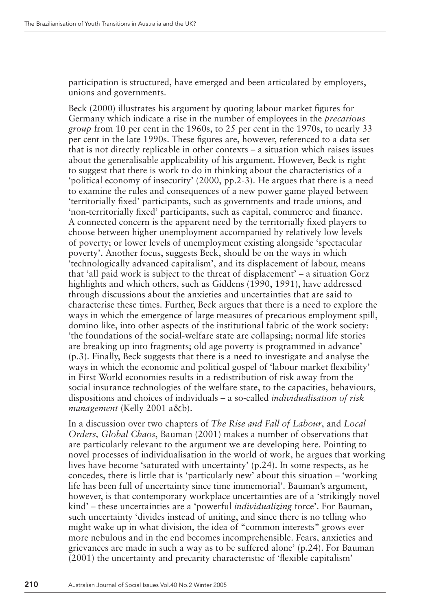participation is structured, have emerged and been articulated by employers, unions and governments.

Beck (2000) illustrates his argument by quoting labour market figures for Germany which indicate a rise in the number of employees in the *precarious group* from 10 per cent in the 1960s, to 25 per cent in the 1970s, to nearly 33 per cent in the late 1990s. These figures are, however, referenced to a data set that is not directly replicable in other contexts – a situation which raises issues about the generalisable applicability of his argument. However, Beck is right to suggest that there is work to do in thinking about the characteristics of a 'political economy of insecurity' (2000, pp.2-3). He argues that there is a need to examine the rules and consequences of a new power game played between 'territorially fixed' participants, such as governments and trade unions, and 'non-territorially fixed' participants, such as capital, commerce and finance. A connected concern is the apparent need by the territorially fixed players to choose between higher unemployment accompanied by relatively low levels of poverty; or lower levels of unemployment existing alongside 'spectacular poverty'. Another focus, suggests Beck, should be on the ways in which 'technologically advanced capitalism', and its displacement of labour, means that 'all paid work is subject to the threat of displacement' – a situation Gorz highlights and which others, such as Giddens (1990, 1991), have addressed through discussions about the anxieties and uncertainties that are said to characterise these times. Further, Beck argues that there is a need to explore the ways in which the emergence of large measures of precarious employment spill, domino like, into other aspects of the institutional fabric of the work society: 'the foundations of the social-welfare state are collapsing; normal life stories are breaking up into fragments; old age poverty is programmed in advance' (p.3). Finally, Beck suggests that there is a need to investigate and analyse the ways in which the economic and political gospel of 'labour market flexibility' in First World economies results in a redistribution of risk away from the social insurance technologies of the welfare state, to the capacities, behaviours, dispositions and choices of individuals – a so-called *individualisation of risk management* (Kelly 2001 a&b).

In a discussion over two chapters of *The Rise and Fall of Labour*, and *Local Orders, Global Chaos*, Bauman (2001) makes a number of observations that are particularly relevant to the argument we are developing here. Pointing to novel processes of individualisation in the world of work, he argues that working lives have become 'saturated with uncertainty' (p.24). In some respects, as he concedes, there is little that is 'particularly new' about this situation – 'working life has been full of uncertainty since time immemorial'. Bauman's argument, however, is that contemporary workplace uncertainties are of a 'strikingly novel kind' – these uncertainties are a 'powerful *individualizing* force'. For Bauman, such uncertainty 'divides instead of uniting, and since there is no telling who might wake up in what division, the idea of "common interests" grows ever more nebulous and in the end becomes incomprehensible. Fears, anxieties and grievances are made in such a way as to be suffered alone' (p.24). For Bauman  $(2001)$  the uncertainty and precarity characteristic of 'flexible capitalism'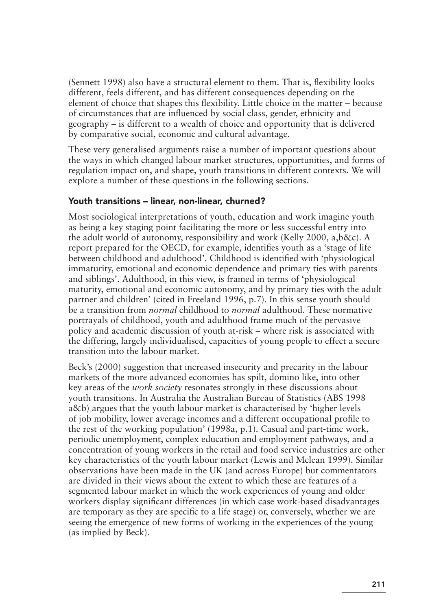(Sennett 1998) also have a structural element to them. That is, flexibility looks different, feels different, and has different consequences depending on the element of choice that shapes this flexibility. Little choice in the matter – because of circumstances that are influenced by social class, gender, ethnicity and geography – is different to a wealth of choice and opportunity that is delivered by comparative social, economic and cultural advantage.

These very generalised arguments raise a number of important questions about the ways in which changed labour market structures, opportunities, and forms of regulation impact on, and shape, youth transitions in different contexts. We will explore a number of these questions in the following sections.

### Youth transitions – linear, non-linear, churned?

Most sociological interpretations of youth, education and work imagine youth as being a key staging point facilitating the more or less successful entry into the adult world of autonomy, responsibility and work (Kelly 2000, a,b&c). A report prepared for the OECD, for example, identifies youth as a 'stage of life between childhood and adulthood'. Childhood is identified with 'physiological immaturity, emotional and economic dependence and primary ties with parents and siblings'. Adulthood, in this view, is framed in terms of 'physiological maturity, emotional and economic autonomy, and by primary ties with the adult partner and children' (cited in Freeland 1996, p.7). In this sense youth should be a transition from *normal* childhood to *normal* adulthood. These normative portrayals of childhood, youth and adulthood frame much of the pervasive policy and academic discussion of youth at-risk – where risk is associated with the differing, largely individualised, capacities of young people to effect a secure transition into the labour market.

Beck's (2000) suggestion that increased insecurity and precarity in the labour markets of the more advanced economies has spilt, domino like, into other key areas of the *work society* resonates strongly in these discussions about youth transitions. In Australia the Australian Bureau of Statistics (ABS 1998 a&b) argues that the youth labour market is characterised by 'higher levels of job mobility, lower average incomes and a different occupational profile to the rest of the working population' (1998a, p.1). Casual and part-time work, periodic unemployment, complex education and employment pathways, and a concentration of young workers in the retail and food service industries are other key characteristics of the youth labour market (Lewis and Mclean 1999). Similar observations have been made in the UK (and across Europe) but commentators are divided in their views about the extent to which these are features of a segmented labour market in which the work experiences of young and older workers display significant differences (in which case work-based disadvantages are temporary as they are specific to a life stage) or, conversely, whether we are seeing the emergence of new forms of working in the experiences of the young (as implied by Beck).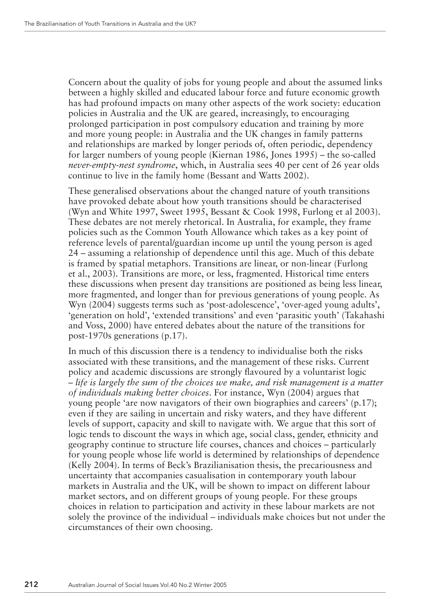Concern about the quality of jobs for young people and about the assumed links between a highly skilled and educated labour force and future economic growth has had profound impacts on many other aspects of the work society: education policies in Australia and the UK are geared, increasingly, to encouraging prolonged participation in post compulsory education and training by more and more young people: in Australia and the UK changes in family patterns and relationships are marked by longer periods of, often periodic, dependency for larger numbers of young people (Kiernan 1986, Jones 1995) – the so-called *never-empty-nest syndrome*, which, in Australia sees 40 per cent of 26 year olds continue to live in the family home (Bessant and Watts 2002).

These generalised observations about the changed nature of youth transitions have provoked debate about how youth transitions should be characterised (Wyn and White 1997, Sweet 1995, Bessant & Cook 1998, Furlong et al 2003). These debates are not merely rhetorical. In Australia, for example, they frame policies such as the Common Youth Allowance which takes as a key point of reference levels of parental/guardian income up until the young person is aged 24 – assuming a relationship of dependence until this age. Much of this debate is framed by spatial metaphors. Transitions are linear, or non-linear (Furlong et al., 2003). Transitions are more, or less, fragmented. Historical time enters these discussions when present day transitions are positioned as being less linear, more fragmented, and longer than for previous generations of young people. As Wyn (2004) suggests terms such as 'post-adolescence', 'over-aged young adults', 'generation on hold', 'extended transitions' and even 'parasitic youth' (Takahashi and Voss, 2000) have entered debates about the nature of the transitions for post-1970s generations (p.17).

In much of this discussion there is a tendency to individualise both the risks associated with these transitions, and the management of these risks. Current policy and academic discussions are strongly flavoured by a voluntarist logic – *life is largely the sum of the choices we make, and risk management is a matter of individuals making better choices*. For instance, Wyn (2004) argues that young people 'are now navigators of their own biographies and careers' (p.17); even if they are sailing in uncertain and risky waters, and they have different levels of support, capacity and skill to navigate with. We argue that this sort of logic tends to discount the ways in which age, social class, gender, ethnicity and geography continue to structure life courses, chances and choices – particularly for young people whose life world is determined by relationships of dependence (Kelly 2004). In terms of Beck's Brazilianisation thesis, the precariousness and uncertainty that accompanies casualisation in contemporary youth labour markets in Australia and the UK, will be shown to impact on different labour market sectors, and on different groups of young people. For these groups choices in relation to participation and activity in these labour markets are not solely the province of the individual – individuals make choices but not under the circumstances of their own choosing.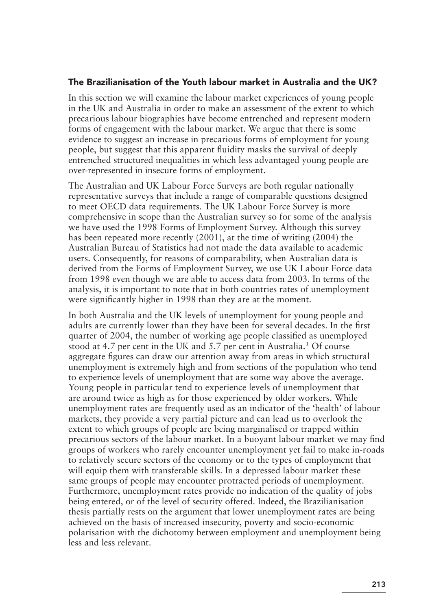## The Brazilianisation of the Youth labour market in Australia and the UK?

In this section we will examine the labour market experiences of young people in the UK and Australia in order to make an assessment of the extent to which precarious labour biographies have become entrenched and represent modern forms of engagement with the labour market. We argue that there is some evidence to suggest an increase in precarious forms of employment for young people, but suggest that this apparent fluidity masks the survival of deeply entrenched structured inequalities in which less advantaged young people are over-represented in insecure forms of employment.

The Australian and UK Labour Force Surveys are both regular nationally representative surveys that include a range of comparable questions designed to meet OECD data requirements. The UK Labour Force Survey is more comprehensive in scope than the Australian survey so for some of the analysis we have used the 1998 Forms of Employment Survey. Although this survey has been repeated more recently (2001), at the time of writing (2004) the Australian Bureau of Statistics had not made the data available to academic users. Consequently, for reasons of comparability, when Australian data is derived from the Forms of Employment Survey, we use UK Labour Force data from 1998 even though we are able to access data from 2003. In terms of the analysis, it is important to note that in both countries rates of unemployment were significantly higher in 1998 than they are at the moment.

In both Australia and the UK levels of unemployment for young people and adults are currently lower than they have been for several decades. In the first quarter of 2004, the number of working age people classified as unemployed stood at 4.7 per cent in the UK and 5.7 per cent in Australia.<sup>1</sup> Of course aggregate figures can draw our attention away from areas in which structural unemployment is extremely high and from sections of the population who tend to experience levels of unemployment that are some way above the average. Young people in particular tend to experience levels of unemployment that are around twice as high as for those experienced by older workers. While unemployment rates are frequently used as an indicator of the 'health' of labour markets, they provide a very partial picture and can lead us to overlook the extent to which groups of people are being marginalised or trapped within precarious sectors of the labour market. In a buoyant labour market we may find groups of workers who rarely encounter unemployment yet fail to make in-roads to relatively secure sectors of the economy or to the types of employment that will equip them with transferable skills. In a depressed labour market these same groups of people may encounter protracted periods of unemployment. Furthermore, unemployment rates provide no indication of the quality of jobs being entered, or of the level of security offered. Indeed, the Brazilianisation thesis partially rests on the argument that lower unemployment rates are being achieved on the basis of increased insecurity, poverty and socio-economic polarisation with the dichotomy between employment and unemployment being less and less relevant.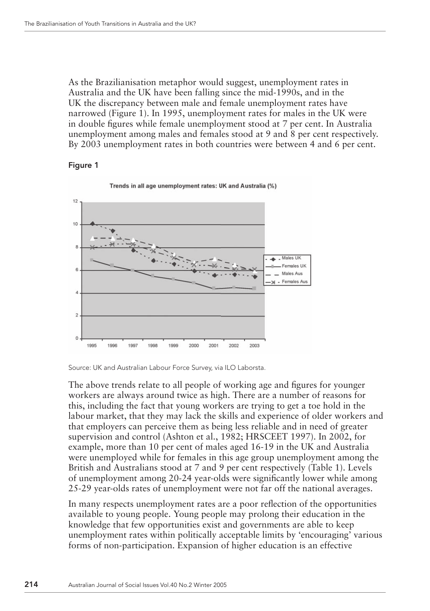As the Brazilianisation metaphor would suggest, unemployment rates in Australia and the UK have been falling since the mid-1990s, and in the UK the discrepancy between male and female unemployment rates have narrowed (Figure 1). In 1995, unemployment rates for males in the UK were in double figures while female unemployment stood at 7 per cent. In Australia unemployment among males and females stood at 9 and 8 per cent respectively. By 2003 unemployment rates in both countries were between 4 and 6 per cent.

#### Figure 1



Source: UK and Australian Labour Force Survey, via ILO Laborsta.

The above trends relate to all people of working age and figures for younger workers are always around twice as high. There are a number of reasons for this, including the fact that young workers are trying to get a toe hold in the labour market, that they may lack the skills and experience of older workers and that employers can perceive them as being less reliable and in need of greater supervision and control (Ashton et al., 1982; HRSCEET 1997). In 2002, for example, more than 10 per cent of males aged 16-19 in the UK and Australia were unemployed while for females in this age group unemployment among the British and Australians stood at 7 and 9 per cent respectively (Table 1). Levels of unemployment among 20-24 year-olds were significantly lower while among 25-29 year-olds rates of unemployment were not far off the national averages.

In many respects unemployment rates are a poor reflection of the opportunities available to young people. Young people may prolong their education in the knowledge that few opportunities exist and governments are able to keep unemployment rates within politically acceptable limits by 'encouraging' various forms of non-participation. Expansion of higher education is an effective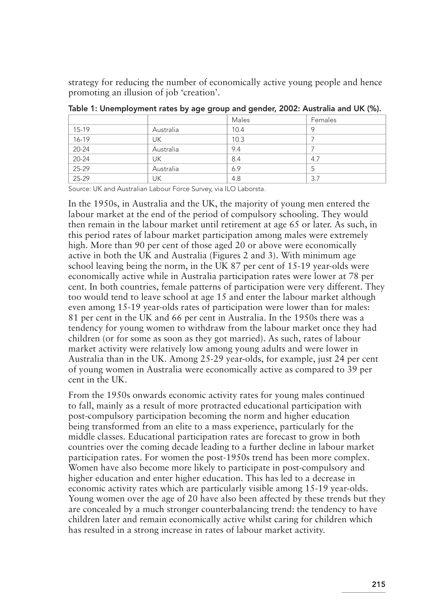strategy for reducing the number of economically active young people and hence promoting an illusion of job 'creation'.

|           |           | Males | Females |
|-----------|-----------|-------|---------|
| 15-19     | Australia | 10.4  | a       |
| 16-19     | UΚ        | 10.3  |         |
| $20 - 24$ | Australia | 9.4   |         |
| $20 - 24$ | UK.       | 8.4   | 4.7     |
| 25-29     | Australia | 6.9   | .5      |
| 25-29     | UK        | 4.8   | 3.7     |

Table 1: Unemployment rates by age group and gender, 2002: Australia and UK (%).

Source: UK and Australian Labour Force Survey, via ILO Laborsta.

In the 1950s, in Australia and the UK, the majority of young men entered the labour market at the end of the period of compulsory schooling. They would then remain in the labour market until retirement at age 65 or later. As such, in this period rates of labour market participation among males were extremely high. More than 90 per cent of those aged 20 or above were economically active in both the UK and Australia (Figures 2 and 3). With minimum age school leaving being the norm, in the UK 87 per cent of 15-19 year-olds were economically active while in Australia participation rates were lower at 78 per cent. In both countries, female patterns of participation were very different. They too would tend to leave school at age 15 and enter the labour market although even among 15-19 year-olds rates of participation were lower than for males: 81 per cent in the UK and 66 per cent in Australia. In the 1950s there was a tendency for young women to withdraw from the labour market once they had children (or for some as soon as they got married). As such, rates of labour market activity were relatively low among young adults and were lower in Australia than in the UK. Among 25-29 year-olds, for example, just 24 per cent of young women in Australia were economically active as compared to 39 per cent in the UK.

From the 1950s onwards economic activity rates for young males continued to fall, mainly as a result of more protracted educational participation with post-compulsory participation becoming the norm and higher education being transformed from an elite to a mass experience, particularly for the middle classes. Educational participation rates are forecast to grow in both countries over the coming decade leading to a further decline in labour market participation rates. For women the post-1950s trend has been more complex. Women have also become more likely to participate in post-compulsory and higher education and enter higher education. This has led to a decrease in economic activity rates which are particularly visible among 15-19 year-olds. Young women over the age of 20 have also been affected by these trends but they are concealed by a much stronger counterbalancing trend: the tendency to have children later and remain economically active whilst caring for children which has resulted in a strong increase in rates of labour market activity.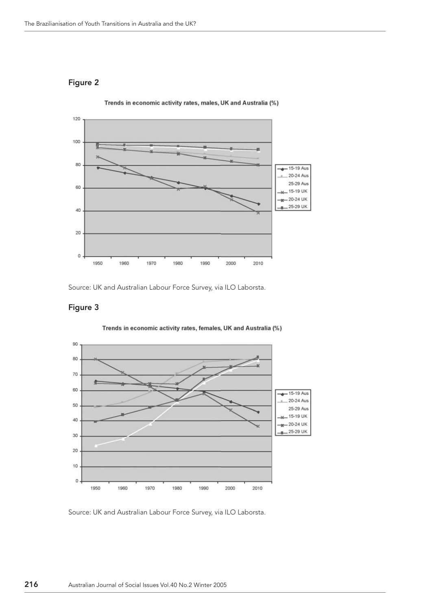#### Figure 2



Trends in economic activity rates, males, UK and Australia (%)

Source: UK and Australian Labour Force Survey, via ILO Laborsta.

#### Figure 3



Trends in economic activity rates, females, UK and Australia (%)

Source: UK and Australian Labour Force Survey, via ILO Laborsta.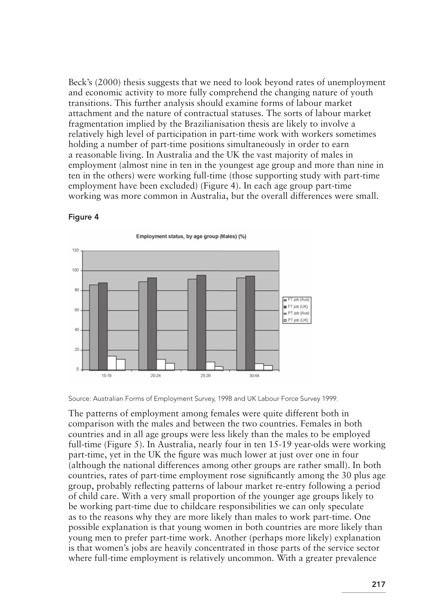Beck's (2000) thesis suggests that we need to look beyond rates of unemployment and economic activity to more fully comprehend the changing nature of youth transitions. This further analysis should examine forms of labour market attachment and the nature of contractual statuses. The sorts of labour market fragmentation implied by the Brazilianisation thesis are likely to involve a relatively high level of participation in part-time work with workers sometimes holding a number of part-time positions simultaneously in order to earn a reasonable living. In Australia and the UK the vast majority of males in employment (almost nine in ten in the youngest age group and more than nine in ten in the others) were working full-time (those supporting study with part-time employment have been excluded) (Figure 4). In each age group part-time working was more common in Australia, but the overall differences were small.

#### Figure 4



Source: Australian Forms of Employment Survey, 1998 and UK Labour Force Survey 1999.

The patterns of employment among females were quite different both in comparison with the males and between the two countries. Females in both countries and in all age groups were less likely than the males to be employed full-time (Figure 5). In Australia, nearly four in ten 15-19 year-olds were working part-time, yet in the UK the figure was much lower at just over one in four (although the national differences among other groups are rather small). In both countries, rates of part-time employment rose significantly among the 30 plus age group, probably reflecting patterns of labour market re-entry following a period of child care. With a very small proportion of the younger age groups likely to be working part-time due to childcare responsibilities we can only speculate as to the reasons why they are more likely than males to work part-time. One possible explanation is that young women in both countries are more likely than young men to prefer part-time work. Another (perhaps more likely) explanation is that women's jobs are heavily concentrated in those parts of the service sector where full-time employment is relatively uncommon. With a greater prevalence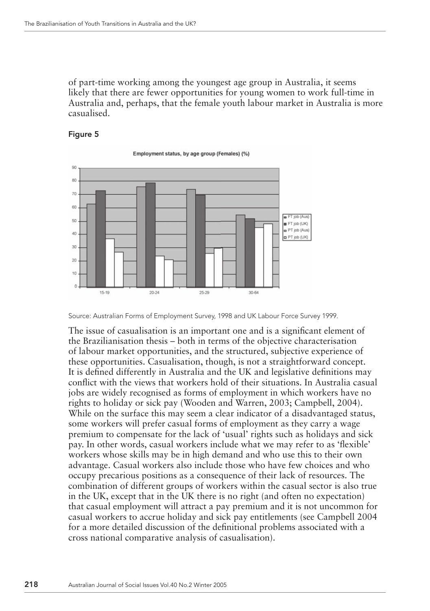of part-time working among the youngest age group in Australia, it seems likely that there are fewer opportunities for young women to work full-time in Australia and, perhaps, that the female youth labour market in Australia is more casualised.





Source: Australian Forms of Employment Survey, 1998 and UK Labour Force Survey 1999.

The issue of casualisation is an important one and is a significant element of the Brazilianisation thesis – both in terms of the objective characterisation of labour market opportunities, and the structured, subjective experience of these opportunities. Casualisation, though, is not a straightforward concept. It is defined differently in Australia and the UK and legislative definitions may conflict with the views that workers hold of their situations. In Australia casual jobs are widely recognised as forms of employment in which workers have no rights to holiday or sick pay (Wooden and Warren, 2003; Campbell, 2004). While on the surface this may seem a clear indicator of a disadvantaged status, some workers will prefer casual forms of employment as they carry a wage premium to compensate for the lack of 'usual' rights such as holidays and sick pay. In other words, casual workers include what we may refer to as 'flexible' workers whose skills may be in high demand and who use this to their own advantage. Casual workers also include those who have few choices and who occupy precarious positions as a consequence of their lack of resources. The combination of different groups of workers within the casual sector is also true in the UK, except that in the UK there is no right (and often no expectation) that casual employment will attract a pay premium and it is not uncommon for casual workers to accrue holiday and sick pay entitlements (see Campbell 2004 for a more detailed discussion of the definitional problems associated with a cross national comparative analysis of casualisation).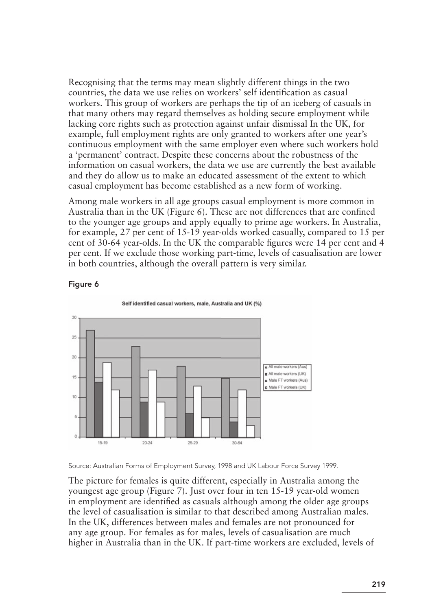Recognising that the terms may mean slightly different things in the two countries, the data we use relies on workers' self identification as casual workers. This group of workers are perhaps the tip of an iceberg of casuals in that many others may regard themselves as holding secure employment while lacking core rights such as protection against unfair dismissal In the UK, for example, full employment rights are only granted to workers after one year's continuous employment with the same employer even where such workers hold a 'permanent' contract. Despite these concerns about the robustness of the information on casual workers, the data we use are currently the best available and they do allow us to make an educated assessment of the extent to which casual employment has become established as a new form of working.

Among male workers in all age groups casual employment is more common in Australia than in the UK (Figure  $6$ ). These are not differences that are confined to the younger age groups and apply equally to prime age workers. In Australia, for example, 27 per cent of 15-19 year-olds worked casually, compared to 15 per cent of 30-64 year-olds. In the UK the comparable figures were 14 per cent and 4 per cent. If we exclude those working part-time, levels of casualisation are lower in both countries, although the overall pattern is very similar.

#### Figure 6



Source: Australian Forms of Employment Survey, 1998 and UK Labour Force Survey 1999.

The picture for females is quite different, especially in Australia among the youngest age group (Figure 7). Just over four in ten 15-19 year-old women in employment are identified as casuals although among the older age groups the level of casualisation is similar to that described among Australian males. In the UK, differences between males and females are not pronounced for any age group. For females as for males, levels of casualisation are much higher in Australia than in the UK. If part-time workers are excluded, levels of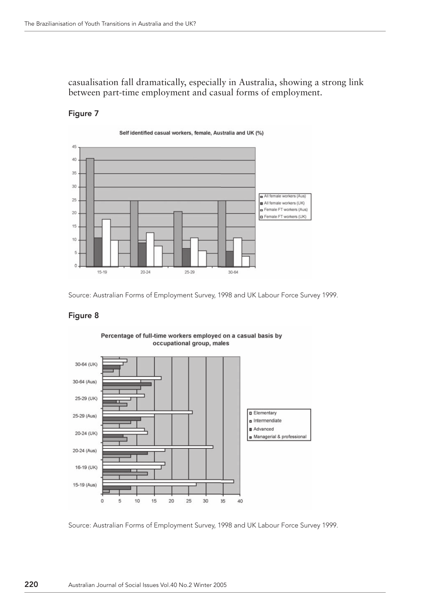casualisation fall dramatically, especially in Australia, showing a strong link between part-time employment and casual forms of employment.

#### Figure 7



Source: Australian Forms of Employment Survey, 1998 and UK Labour Force Survey 1999.

#### Figure 8



Percentage of full-time workers employed on a casual basis by

Source: Australian Forms of Employment Survey, 1998 and UK Labour Force Survey 1999.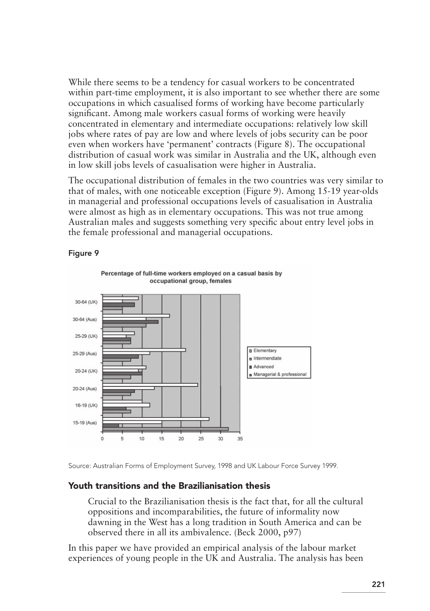While there seems to be a tendency for casual workers to be concentrated within part-time employment, it is also important to see whether there are some occupations in which casualised forms of working have become particularly significant. Among male workers casual forms of working were heavily concentrated in elementary and intermediate occupations: relatively low skill jobs where rates of pay are low and where levels of jobs security can be poor even when workers have 'permanent' contracts (Figure 8). The occupational distribution of casual work was similar in Australia and the UK, although even in low skill jobs levels of casualisation were higher in Australia.

The occupational distribution of females in the two countries was very similar to that of males, with one noticeable exception (Figure 9). Among 15-19 year-olds in managerial and professional occupations levels of casualisation in Australia were almost as high as in elementary occupations. This was not true among Australian males and suggests something very specifi c about entry level jobs in the female professional and managerial occupations.



#### Figure 9

Source: Australian Forms of Employment Survey, 1998 and UK Labour Force Survey 1999.

#### Youth transitions and the Brazilianisation thesis

Crucial to the Brazilianisation thesis is the fact that, for all the cultural oppositions and incomparabilities, the future of informality now dawning in the West has a long tradition in South America and can be observed there in all its ambivalence. (Beck 2000, p97)

In this paper we have provided an empirical analysis of the labour market experiences of young people in the UK and Australia. The analysis has been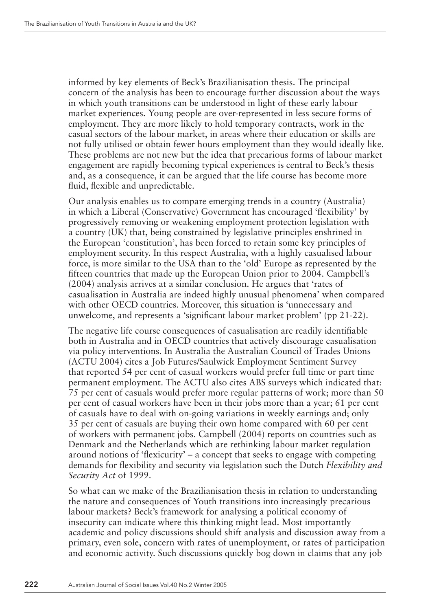informed by key elements of Beck's Brazilianisation thesis. The principal concern of the analysis has been to encourage further discussion about the ways in which youth transitions can be understood in light of these early labour market experiences. Young people are over-represented in less secure forms of employment. They are more likely to hold temporary contracts, work in the casual sectors of the labour market, in areas where their education or skills are not fully utilised or obtain fewer hours employment than they would ideally like. These problems are not new but the idea that precarious forms of labour market engagement are rapidly becoming typical experiences is central to Beck's thesis and, as a consequence, it can be argued that the life course has become more fluid, flexible and unpredictable.

Our analysis enables us to compare emerging trends in a country (Australia) in which a Liberal (Conservative) Government has encouraged 'flexibility' by progressively removing or weakening employment protection legislation with a country (UK) that, being constrained by legislative principles enshrined in the European 'constitution', has been forced to retain some key principles of employment security. In this respect Australia, with a highly casualised labour force, is more similar to the USA than to the 'old' Europe as represented by the fifteen countries that made up the European Union prior to 2004. Campbell's (2004) analysis arrives at a similar conclusion. He argues that 'rates of casualisation in Australia are indeed highly unusual phenomena' when compared with other OECD countries. Moreover, this situation is 'unnecessary and unwelcome, and represents a 'significant labour market problem' (pp 21-22).

The negative life course consequences of casualisation are readily identifiable both in Australia and in OECD countries that actively discourage casualisation via policy interventions. In Australia the Australian Council of Trades Unions (ACTU 2004) cites a Job Futures/Saulwick Employment Sentiment Survey that reported 54 per cent of casual workers would prefer full time or part time permanent employment. The ACTU also cites ABS surveys which indicated that: 75 per cent of casuals would prefer more regular patterns of work; more than 50 per cent of casual workers have been in their jobs more than a year; 61 per cent of casuals have to deal with on-going variations in weekly earnings and; only 35 per cent of casuals are buying their own home compared with 60 per cent of workers with permanent jobs. Campbell (2004) reports on countries such as Denmark and the Netherlands which are rethinking labour market regulation around notions of 'flexicurity' – a concept that seeks to engage with competing demands for flexibility and security via legislation such the Dutch *Flexibility and Security Act* of 1999.

So what can we make of the Brazilianisation thesis in relation to understanding the nature and consequences of Youth transitions into increasingly precarious labour markets? Beck's framework for analysing a political economy of insecurity can indicate where this thinking might lead. Most importantly academic and policy discussions should shift analysis and discussion away from a primary, even sole, concern with rates of unemployment, or rates of participation and economic activity. Such discussions quickly bog down in claims that any job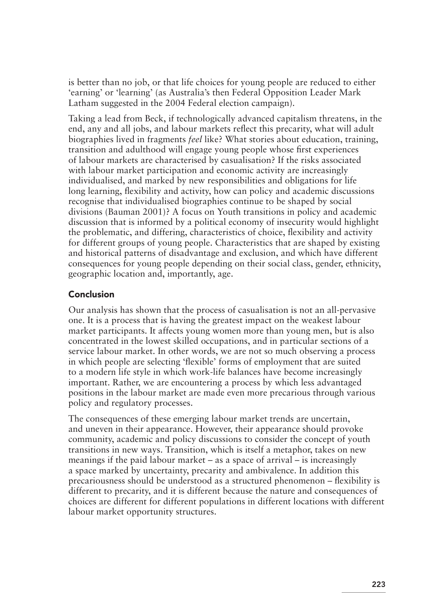is better than no job, or that life choices for young people are reduced to either 'earning' or 'learning' (as Australia's then Federal Opposition Leader Mark Latham suggested in the 2004 Federal election campaign).

Taking a lead from Beck, if technologically advanced capitalism threatens, in the end, any and all jobs, and labour markets reflect this precarity, what will adult biographies lived in fragments *feel* like? What stories about education, training, transition and adulthood will engage young people whose first experiences of labour markets are characterised by casualisation? If the risks associated with labour market participation and economic activity are increasingly individualised, and marked by new responsibilities and obligations for life long learning, flexibility and activity, how can policy and academic discussions recognise that individualised biographies continue to be shaped by social divisions (Bauman 2001)? A focus on Youth transitions in policy and academic discussion that is informed by a political economy of insecurity would highlight the problematic, and differing, characteristics of choice, flexibility and activity for different groups of young people. Characteristics that are shaped by existing and historical patterns of disadvantage and exclusion, and which have different consequences for young people depending on their social class, gender, ethnicity, geographic location and, importantly, age.

## Conclusion

Our analysis has shown that the process of casualisation is not an all-pervasive one. It is a process that is having the greatest impact on the weakest labour market participants. It affects young women more than young men, but is also concentrated in the lowest skilled occupations, and in particular sections of a service labour market. In other words, we are not so much observing a process in which people are selecting 'flexible' forms of employment that are suited to a modern life style in which work-life balances have become increasingly important. Rather, we are encountering a process by which less advantaged positions in the labour market are made even more precarious through various policy and regulatory processes.

The consequences of these emerging labour market trends are uncertain, and uneven in their appearance. However, their appearance should provoke community, academic and policy discussions to consider the concept of youth transitions in new ways. Transition, which is itself a metaphor, takes on new meanings if the paid labour market – as a space of arrival – is increasingly a space marked by uncertainty, precarity and ambivalence. In addition this precariousness should be understood as a structured phenomenon – flexibility is different to precarity, and it is different because the nature and consequences of choices are different for different populations in different locations with different labour market opportunity structures.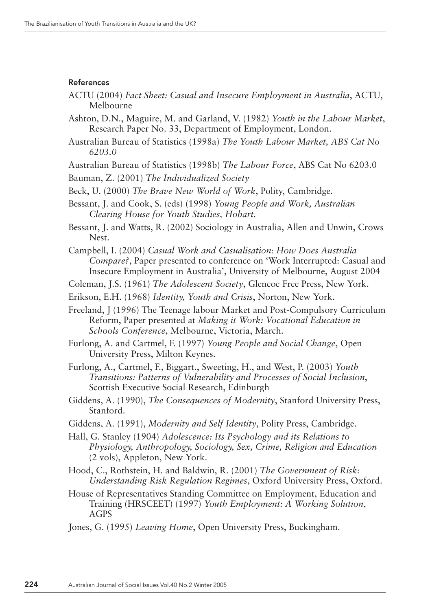#### References

- ACTU (2004) *Fact Sheet: Casual and Insecure Employment in Australia*, ACTU, Melbourne
- Ashton, D.N., Maguire, M. and Garland, V. (1982) *Youth in the Labour Market*, Research Paper No. 33, Department of Employment, London.
- Australian Bureau of Statistics (1998a) *The Youth Labour Market, ABS Cat No 6203.0*
- Australian Bureau of Statistics (1998b) *The Labour Force*, ABS Cat No 6203.0
- Bauman, Z. (2001) *The Individualized Society*
- Beck, U. (2000) *The Brave New World of Work*, Polity, Cambridge*.*
- Bessant, J. and Cook, S. (eds) (1998) *Young People and Work, Australian Clearing House for Youth Studies, Hobart.*
- Bessant, J. and Watts, R. (2002) Sociology in Australia, Allen and Unwin, Crows Nest.
- Campbell, I. (2004) *Casual Work and Casualisation: How Does Australia Compare?*, Paper presented to conference on 'Work Interrupted: Casual and Insecure Employment in Australia', University of Melbourne, August 2004
- Coleman, J.S. (1961) *The Adolescent Society*, Glencoe Free Press, New York.
- Erikson, E.H. (1968) *Identity, Youth and Crisis*, Norton, New York.
- Freeland, J (1996) The Teenage labour Market and Post-Compulsory Curriculum Reform, Paper presented at *Making it Work: Vocational Education in Schools Conference*, Melbourne, Victoria, March.
- Furlong, A. and Cartmel, F. (1997) *Young People and Social Change*, Open University Press, Milton Keynes.
- Furlong, A., Cartmel, F., Biggart., Sweeting, H., and West, P. (2003) *Youth Transitions: Patterns of Vulnerability and Processes of Social Inclusion*, Scottish Executive Social Research, Edinburgh
- Giddens, A. (1990), *The Consequences of Modernity*, Stanford University Press, Stanford.
- Giddens, A. (1991), *Modernity and Self Identity*, Polity Press, Cambridge.
- Hall, G. Stanley (1904) *Adolescence: Its Psychology and its Relations to Physiology, Anthropology, Sociology, Sex, Crime, Religion and Education* (2 vols), Appleton, New York.
- Hood, C., Rothstein, H. and Baldwin, R. (2001) *The Government of Risk: Understanding Risk Regulation Regimes*, Oxford University Press, Oxford.
- House of Representatives Standing Committee on Employment, Education and Training (HRSCEET) (1997) *Youth Employment: A Working Solution*, AGPS
- Jones, G. (1995) *Leaving Home*, Open University Press, Buckingham.